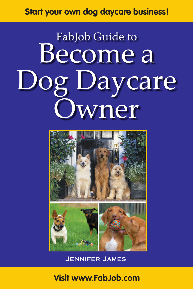# **Start your own dog daycare business!**

# FabJob Guide to Become a Dog Daycare wner



Jennifer James

**Visit www.FabJob.com**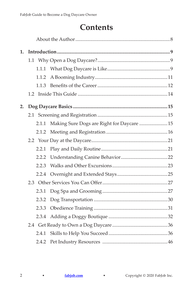## **Contents**

| 1. |       |                                            |  |
|----|-------|--------------------------------------------|--|
|    |       |                                            |  |
|    |       |                                            |  |
|    | 1.1.2 |                                            |  |
|    | 1.1.3 |                                            |  |
|    |       |                                            |  |
| 2. |       |                                            |  |
|    |       |                                            |  |
|    | 2.1.1 | Making Sure Dogs are Right for Daycare  15 |  |
|    | 2.1.2 |                                            |  |
|    |       |                                            |  |
|    | 2.2.1 |                                            |  |
|    | 2.2.2 |                                            |  |
|    |       |                                            |  |
|    |       |                                            |  |
|    |       |                                            |  |
|    |       |                                            |  |
|    | 2.3.2 |                                            |  |
|    | 2.3.3 |                                            |  |
|    |       |                                            |  |
|    |       |                                            |  |
|    | 2.4.1 |                                            |  |
|    |       |                                            |  |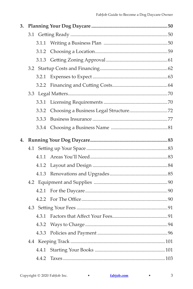| 3. |       |  |  |
|----|-------|--|--|
|    |       |  |  |
|    | 3.1.1 |  |  |
|    |       |  |  |
|    |       |  |  |
|    |       |  |  |
|    | 3.2.1 |  |  |
|    |       |  |  |
|    |       |  |  |
|    | 3.3.1 |  |  |
|    | 3.3.2 |  |  |
|    | 3.3.3 |  |  |
|    |       |  |  |
| 4. |       |  |  |
|    |       |  |  |
|    | 4.1.1 |  |  |
|    |       |  |  |
|    | 4.1.3 |  |  |
|    |       |  |  |
|    |       |  |  |
|    |       |  |  |
|    |       |  |  |
|    |       |  |  |
|    |       |  |  |
|    | 4.3.3 |  |  |
|    |       |  |  |
|    | 4.4.1 |  |  |
|    | 4.4.2 |  |  |

 $\bullet$  .

 $\bullet$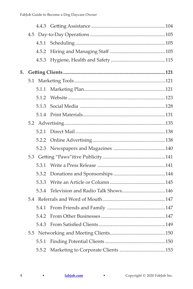|    | 4.5   |  |  |
|----|-------|--|--|
|    | 4.5.1 |  |  |
|    | 4.5.2 |  |  |
|    | 4.5.3 |  |  |
| 5. |       |  |  |
|    | 5.1   |  |  |
|    | 5.1.1 |  |  |
|    | 5.1.2 |  |  |
|    | 5.1.3 |  |  |
|    | 5.1.4 |  |  |
|    |       |  |  |
|    | 5.2.1 |  |  |
|    | 5.2.2 |  |  |
|    | 5.2.3 |  |  |
|    |       |  |  |
|    | 5.3.1 |  |  |
|    | 5.3.2 |  |  |
|    | 5.3.3 |  |  |
|    | 5.3.4 |  |  |
|    |       |  |  |
|    | 5.4.1 |  |  |
|    | 5.4.2 |  |  |
|    | 5.4.3 |  |  |
|    |       |  |  |
|    | 5.5.1 |  |  |
|    | 5.5.2 |  |  |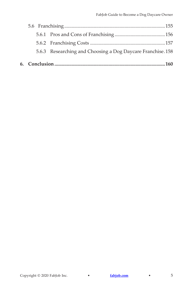|  | 5.6.3 Researching and Choosing a Dog Daycare Franchise. 158 |  |
|--|-------------------------------------------------------------|--|
|  |                                                             |  |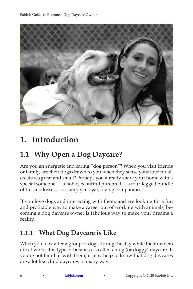

# **1. Introduction**

## **1.1 Why Open a Dog Daycare?**

Are you an energetic and caring "dog person"? When you visit friends or family, are their dogs drawn to you when they sense your love for all creatures great and small? Perhaps you already share your home with a special someone — a noble, beautiful purebred… a four-legged bundle of fur and kisses… or simply a loyal, loving companion.

If you love dogs and interacting with them, and are looking for a fun and profitable way to make a career out of working with animals, becoming a dog daycare owner is fabulous way to make your dreams a reality.

#### **1.1.1 What Dog Daycare is Like**

When you look after a group of dogs during the day while their owners are at work, this type of business is called a dog (or doggy) daycare. If you're not familiar with them, it may help to know that dog daycares are a lot like child daycares in many ways.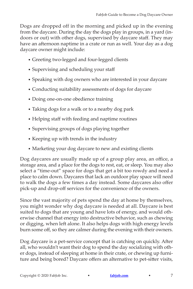Dogs are dropped off in the morning and picked up in the evening from the daycare. During the day the dogs play in groups, in a yard (indoors or out) with other dogs, supervised by daycare staff. They may have an afternoon naptime in a crate or run as well. Your day as a dog daycare owner might include:

- • Greeting two-legged and four-legged clients
- • Supervising and scheduling your staff
- Speaking with dog owners who are interested in your daycare
- Conducting suitability assessments of dogs for daycare
- Doing one-on-one obedience training
- Taking dogs for a walk or to a nearby dog park
- Helping staff with feeding and naptime routines
- • Supervising groups of dogs playing together
- Keeping up with trends in the industry
- Marketing your dog daycare to new and existing clients

Dog daycares are usually made up of a group play area, an office, a storage area, and a place for the dogs to rest, eat, or sleep. You may also select a "time-out" space for dogs that get a bit too rowdy and need a place to calm down. Daycares that lack an outdoor play space will need to walk the dogs a few times a day instead. Some daycares also offer pick-up and drop-off services for the convenience of the owners.

Since the vast majority of pets spend the day at home by themselves, you might wonder why dog daycare is needed at all. Daycare is best suited to dogs that are young and have lots of energy, and would otherwise channel that energy into destructive behavior, such as chewing or digging, when left alone. It also helps dogs with high energy levels burn some off, so they are calmer during the evening with their owners.

Dog daycare is a pet-service concept that is catching on quickly. After all, who wouldn't want their dog to spend the day socializing with other dogs, instead of sleeping at home in their crate, or chewing up furniture and being bored? Daycare offers an alternative to pet-sitter visits,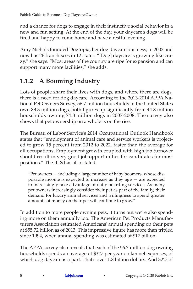and a chance for dogs to engage in their instinctive social behavior in a new and fun setting. At the end of the day, your daycare's dogs will be tired and happy to come home and have a restful evening.

Amy Nichols founded Dogtopia, her dog daycare business, in 2002 and now has 26 franchisees in 12 states. "[Dog] daycare is growing like crazy," she says. "Most areas of the country are ripe for expansion and can support many more facilities," she adds.

#### **1.1.2 A Booming Industry**

Lots of people share their lives with dogs, and where there are dogs, there is a need for dog daycare. According to the 2013-2014 APPA National Pet Owners Survey, 56.7 million households in the United States own 83.3 million dogs, both figures up significantly from 44.8 million households owning 74.8 million dogs in 2007-2008. The survey also shows that pet ownership on a whole is on the rise.

The Bureau of Labor Service's 2014 Occupational Outlook Handbook states that "employment of animal care and service workers is projected to grow 15 percent from 2012 to 2022, faster than the average for all occupations. Employment growth coupled with high job turnover should result in very good job opportunities for candidates for most positions." The BLS has also stated:

"Pet owners — including a large number of baby boomers, whose disposable income is expected to increase as they age — are expected to increasingly take advantage of daily boarding services. As many pet owners increasingly consider their pet as part of the family, their demand for luxury animal services and willingness to spend greater amounts of money on their pet will continue to grow."

In addition to more people owning pets, it turns out we're also spending more on them annually too. The American Pet Products Manufacturers Association estimated Americans' annual spending on their pets at \$55.72 billion as of 2013. This impressive figure has more than tripled since 1994, when annual spending was estimated at \$17 billion.

The APPA survey also reveals that each of the 56.7 million dog owning households spends an average of \$327 per year on kennel expenses, of which dog daycare is a part. That's over 1.8 billion dollars. And 32% of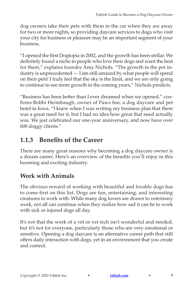dog owners take their pets with them in the car when they are away for two or more nights, so providing daycare services to dogs who visit your city for business or pleasure may be an important segment of your business.

"I opened the first Dogtopia in 2002, and the growth has been stellar. We definitely found a niche in people who love their dogs and want the best for them," explains founder Amy Nichols. "The growth in the pet industry is unprecedented — I am still amazed by what people will spend on their pets! I truly feel that the sky is the limit, and we are only going to continue to see more growth in the coming years," Nichols predicts.

"Business has been better than I ever dreamed when we opened," confirms Bobbi Heimbaugh, owner of Paws Inn, a dog daycare and pet hotel in Iowa. "I knew when I was writing my business plan that there was a great need for it, but I had no idea how great that need actually was. We just celebrated our one-year anniversary, and now have over 600 doggy clients."

#### **1.1.3 Benefits of the Career**

There are many great reasons why becoming a dog daycare owner is a dream career. Here's an overview of the benefits you'll enjoy in this booming and exciting industry.

#### **Work with Animals**

The obvious reward of working with beautiful and lovable dogs has to come first on this list. Dogs are fun, entertaining, and interesting creatures to work with. While many dog lovers are drawn to veterinary work, not all can continue when they realize how sad it can be to work with sick or injured dogs all day.

It's not that the work of a vet or vet tech isn't wonderful and needed, but it's not for everyone, particularly those who are very emotional or sensitive. Opening a dog daycare is an alternative career path that still offers daily interaction with dogs, yet in an environment that you create and control.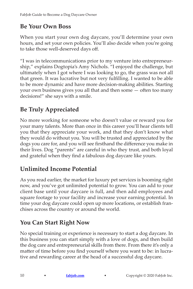#### **Be Your Own Boss**

When you start your own dog daycare, you'll determine your own hours, and set your own policies. You'll also decide when you're going to take those well-deserved days off.

"I was in telecommunications prior to my venture into entrepreneurship," explains Dogtopia's Amy Nichols. "I enjoyed the challenge, but ultimately when I got where I was looking to go, the grass was not all that green. It was lucrative but not very fulfilling. I wanted to be able to be more dynamic and have more decision-making abilities. Starting your own business gives you all that and then some — often too many decisions!" she says with a smile.

#### **Be Truly Appreciated**

No more working for someone who doesn't value or reward you for your many talents. More than once in this career you'll hear clients tell you that they appreciate your work, and that they don't know what they would do without you. You will be trusted and appreciated by the dogs you care for, and you will see firsthand the difference you make in their lives. Dog "parents" are careful in who they trust, and both loyal and grateful when they find a fabulous dog daycare like yours.

#### **Unlimited Income Potential**

As you read earlier, the market for luxury pet services is booming right now, and you've got unlimited potential to grow. You can add to your client base until your daycare is full, and then add employees and square footage to your facility and increase your earning potential. In time your dog daycare could open up more locations, or establish franchises across the country or around the world.

#### **You Can Start Right Now**

No special training or experience is necessary to start a dog daycare. In this business you can start simply with a love of dogs, and then build the dog care and entrepreneurial skills from there. From there it's only a matter of time before you find yourself where you want to be: in lucrative and rewarding career at the head of a successful dog daycare.